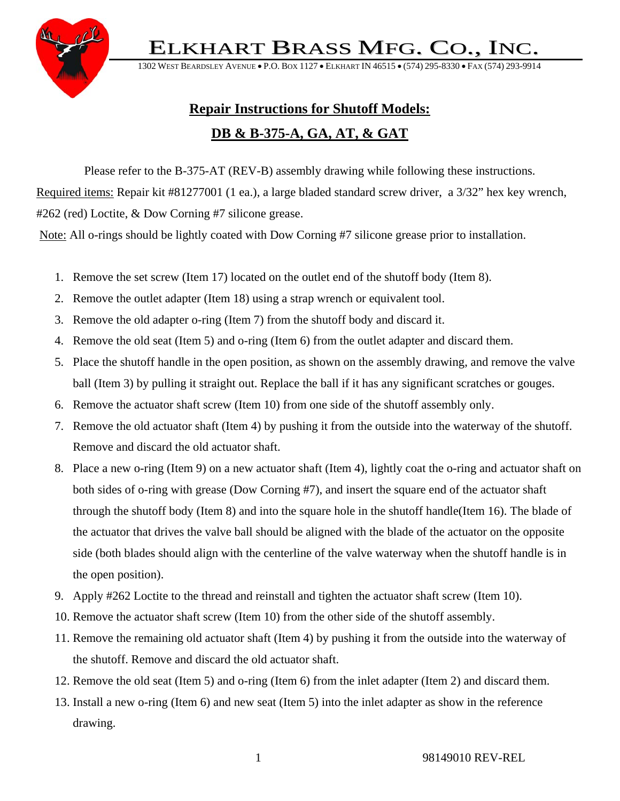ELKHART BRASS MFG. CO.,



1302 WEST BEARDSLEY AVENUE • P.O. BOX 1127 • ELKHART IN 46515 • (574) 295-8330 • FA

## **Repair Instructions for Shutoff Models: DB & B-375-A, GA, AT, & GAT**

Please refer to the B-375-AT (REV-B) assembly drawing while following these instructions. Required items: Repair kit #81277001 (1 ea.), a large bladed standard screw driver, a 3/32" hex key wrench, #262 (red) Loctite, & Dow Corning #7 silicone grease.

Note: All o-rings should be lightly coated with Dow Corning #7 silicone grease prior to installation.

- 1. Remove the set screw (Item 17) located on the outlet end of the shutoff body (Item 8).
- 2. Remove the outlet adapter (Item 18) using a strap wrench or equivalent tool.
- 3. Remove the old adapter o-ring (Item 7) from the shutoff body and discard it.
- 4. Remove the old seat (Item 5) and o-ring (Item 6) from the outlet adapter and discard them.
- 5. Place the shutoff handle in the open position, as shown on the assembly drawing, and remove the valve ball (Item 3) by pulling it straight out. Replace the ball if it has any significant scratches or gouges.
- 6. Remove the actuator shaft screw (Item 10) from one side of the shutoff assembly only.
- 7. Remove the old actuator shaft (Item 4) by pushing it from the outside into the waterway of the shutoff. Remove and discard the old actuator shaft.
- 8. Place a new o-ring (Item 9) on a new actuator shaft (Item 4), lightly coat the o-ring and actuator shaft on both sides of o-ring with grease (Dow Corning #7), and insert the square end of the actuator shaft through the shutoff body (Item 8) and into the square hole in the shutoff handle(Item 16). The blade of the actuator that drives the valve ball should be aligned with the blade of the actuator on the opposite side (both blades should align with the centerline of the valve waterway when the shutoff handle is in the open position).
- 9. Apply #262 Loctite to the thread and reinstall and tighten the actuator shaft screw (Item 10).
- 10. Remove the actuator shaft screw (Item 10) from the other side of the shutoff assembly.
- 11. Remove the remaining old actuator shaft (Item 4) by pushing it from the outside into the waterway of the shutoff. Remove and discard the old actuator shaft.
- 12. Remove the old seat (Item 5) and o-ring (Item 6) from the inlet adapter (Item 2) and discard them.
- 13. Install a new o-ring (Item 6) and new seat (Item 5) into the inlet adapter as show in the reference drawing.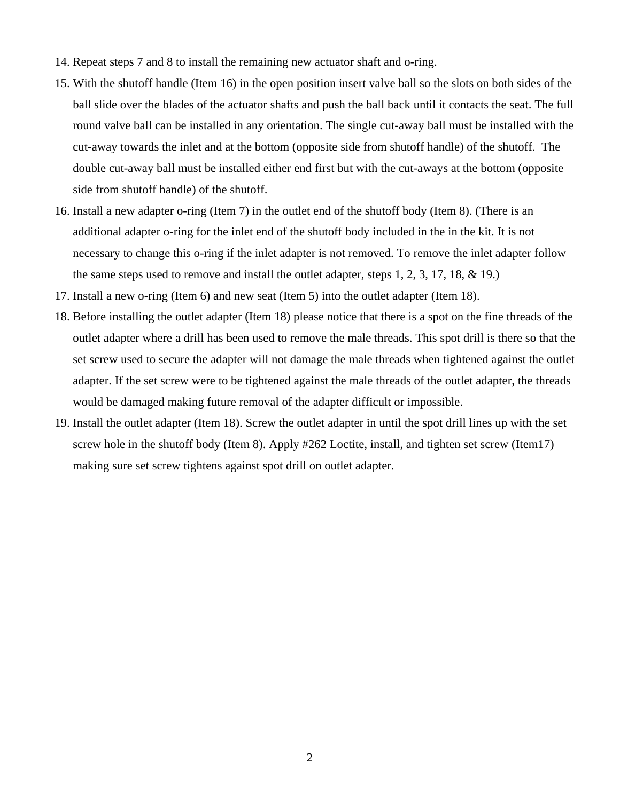- 14. Repeat steps 7 and 8 to install the remaining new actuator shaft and o-ring.
- 15. With the shutoff handle (Item 16) in the open position insert valve ball so the slots on both sides of the ball slide over the blades of the actuator shafts and push the ball back until it contacts the seat. The full round valve ball can be installed in any orientation. The single cut-away ball must be installed with the cut-away towards the inlet and at the bottom (opposite side from shutoff handle) of the shutoff. The double cut-away ball must be installed either end first but with the cut-aways at the bottom (opposite side from shutoff handle) of the shutoff.
- 16. Install a new adapter o-ring (Item 7) in the outlet end of the shutoff body (Item 8). (There is an additional adapter o-ring for the inlet end of the shutoff body included in the in the kit. It is not necessary to change this o-ring if the inlet adapter is not removed. To remove the inlet adapter follow the same steps used to remove and install the outlet adapter, steps 1, 2, 3, 17, 18, & 19.)
- 17. Install a new o-ring (Item 6) and new seat (Item 5) into the outlet adapter (Item 18).
- 18. Before installing the outlet adapter (Item 18) please notice that there is a spot on the fine threads of the outlet adapter where a drill has been used to remove the male threads. This spot drill is there so that the set screw used to secure the adapter will not damage the male threads when tightened against the outlet adapter. If the set screw were to be tightened against the male threads of the outlet adapter, the threads would be damaged making future removal of the adapter difficult or impossible.
- 19. Install the outlet adapter (Item 18). Screw the outlet adapter in until the spot drill lines up with the set screw hole in the shutoff body (Item 8). Apply #262 Loctite, install, and tighten set screw (Item17) making sure set screw tightens against spot drill on outlet adapter.